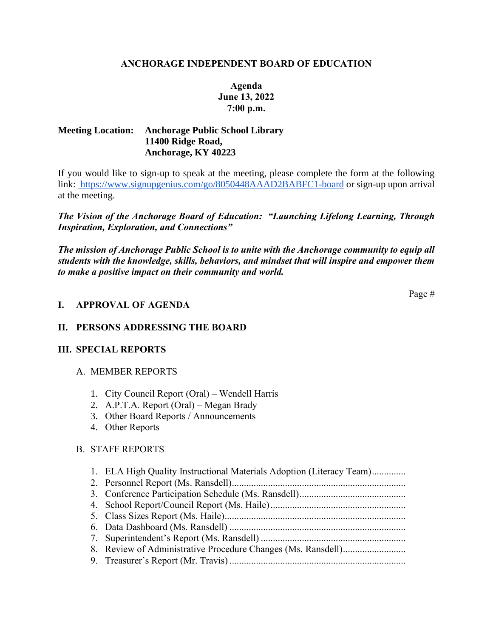#### **ANCHORAGE INDEPENDENT BOARD OF EDUCATION**

# **Agenda June 13, 2022 7:00 p.m.**

### **Meeting Location: Anchorage Public School Library 11400 Ridge Road, Anchorage, KY 40223**

If you would like to sign-up to speak at the meeting, please complete the form at the following link:<https://www.signupgenius.com/go/8050448AAAD2BABFC1-board> or sign-up upon arrival at the meeting.

*The Vision of the Anchorage Board of Education: "Launching Lifelong Learning, Through Inspiration, Exploration, and Connections"*

*The mission of Anchorage Public School is to unite with the Anchorage community to equip all students with the knowledge, skills, behaviors, and mindset that will inspire and empower them to make a positive impact on their community and world.*

Page #

# **I. APPROVAL OF AGENDA**

# **II. PERSONS ADDRESSING THE BOARD**

#### **III. SPECIAL REPORTS**

- A. MEMBER REPORTS
	- 1. City Council Report (Oral) Wendell Harris
	- 2. A.P.T.A. Report (Oral) Megan Brady
	- 3. Other Board Reports / Announcements
	- 4. Other Reports

#### B. STAFF REPORTS

| 1. ELA High Quality Instructional Materials Adoption (Literacy Team) |
|----------------------------------------------------------------------|
|                                                                      |
|                                                                      |
|                                                                      |
|                                                                      |
|                                                                      |
|                                                                      |
|                                                                      |
|                                                                      |